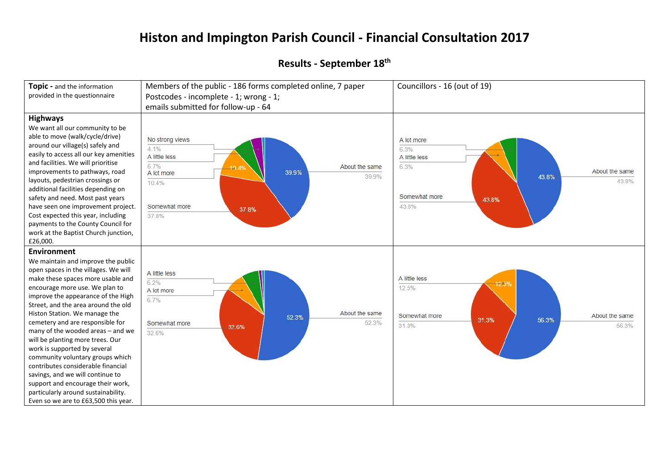## **Histon and Impington Parish Council - Financial Consultation 2017**

## **Results - September 18 th**

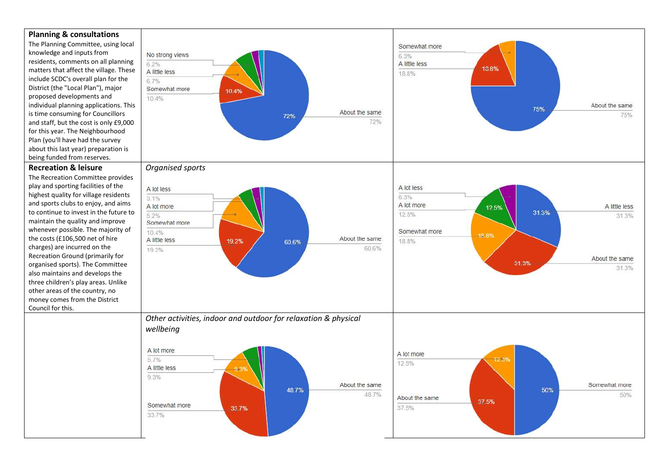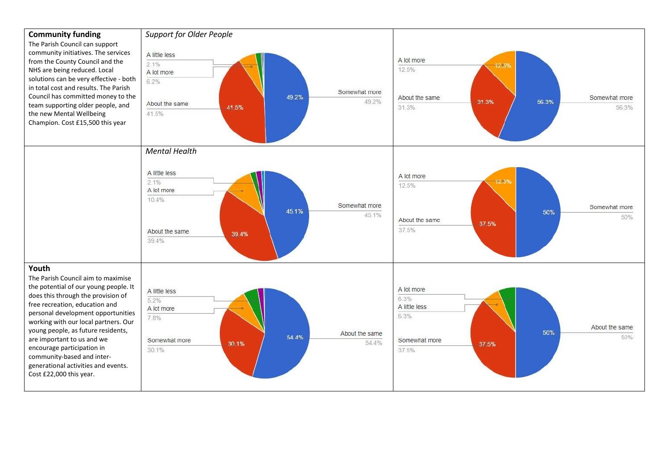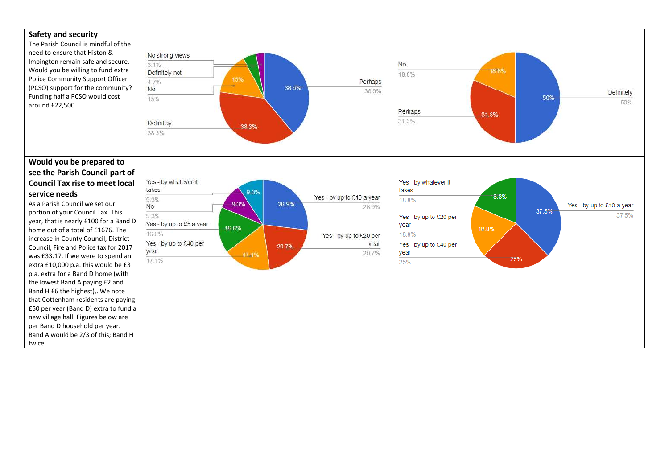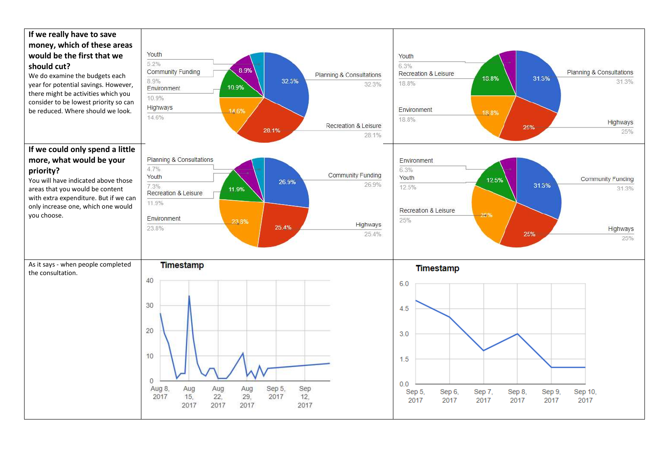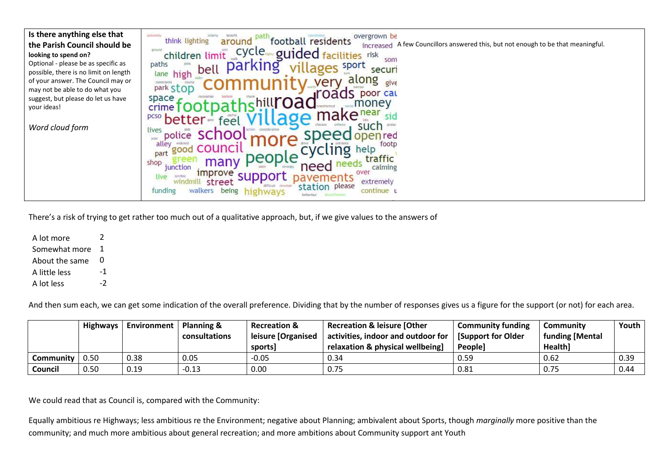| Is there anything else that<br>the Parish Council should be<br>looking to spend on?<br>Optional - please be as specific as<br>possible, there is no limit on length<br>of your answer. The Council may or<br>may not be able to do what you<br>suggest, but please do let us have<br>your ideas!<br>Word cloud form | overgrown be<br>orgainity<br>football residents<br>think lighting<br>around<br>increased A few Councillors answered this, but not enough to be that meaningful.<br>cycle.<br>around<br>guided facilities<br>children limit<br>risk<br>som<br>paths<br>sport<br>par<br>bell<br>securi<br>high<br>lane<br>along<br>very<br>give<br>park Stop<br>poor cau<br>space<br>money<br>crime<br><b>pcso</b> better<br>feel<br>such<br>lives<br>scnoo<br>police<br>open red<br>toph.<br>alley<br>footp<br>good COUNCI<br>.ing<br>help<br>part<br>ned<br>traffic<br>many<br>shop<br>need<br>junction<br>calming<br>over<br><i><u><b>Improve</b></u></i><br>live<br>terrible<br>bav<br>extremely<br>street<br>please<br>station<br>funding<br>walkers being highways<br>continue u |
|---------------------------------------------------------------------------------------------------------------------------------------------------------------------------------------------------------------------------------------------------------------------------------------------------------------------|----------------------------------------------------------------------------------------------------------------------------------------------------------------------------------------------------------------------------------------------------------------------------------------------------------------------------------------------------------------------------------------------------------------------------------------------------------------------------------------------------------------------------------------------------------------------------------------------------------------------------------------------------------------------------------------------------------------------------------------------------------------------|
|---------------------------------------------------------------------------------------------------------------------------------------------------------------------------------------------------------------------------------------------------------------------------------------------------------------------|----------------------------------------------------------------------------------------------------------------------------------------------------------------------------------------------------------------------------------------------------------------------------------------------------------------------------------------------------------------------------------------------------------------------------------------------------------------------------------------------------------------------------------------------------------------------------------------------------------------------------------------------------------------------------------------------------------------------------------------------------------------------|

There's a risk of trying to get rather too much out of a qualitative approach, but, if we give values to the answers of

A lot more 2 Somewhat more 1 About the same 0 A little less  $-1$ <br>A lot less  $-2$ A lot less

And then sum each, we can get some indication of the overall preference. Dividing that by the number of responses gives us a figure for the support (or not) for each area.

|           | <b>Highways</b> | <b>Environment</b> | <b>Planning &amp;</b><br>consultations | <b>Recreation &amp;</b><br>leisure [Organised<br>sports | <b>Recreation &amp; leisure [Other</b><br>activities, indoor and outdoor for<br>relaxation & physical wellbeing] | <b>Community funding</b><br><b>Support for Older</b><br>People] | Community<br>funding [Mental<br>Health] | Youth |
|-----------|-----------------|--------------------|----------------------------------------|---------------------------------------------------------|------------------------------------------------------------------------------------------------------------------|-----------------------------------------------------------------|-----------------------------------------|-------|
| Communitv | 0.50            | 0.38               | 0.05                                   | $-0.05$                                                 | 0.34                                                                                                             | 0.59                                                            | 0.62                                    | 0.39  |
| Council   | 0.50            | 0.19               | $-0.13$                                | 0.00                                                    | 0.75                                                                                                             | 0.81                                                            | 0.75                                    | 0.44  |

We could read that as Council is, compared with the Community:

Equally ambitious re Highways; less ambitious re the Environment; negative about Planning; ambivalent about Sports, though *marginally* more positive than the community; and much more ambitious about general recreation; and more ambitions about Community support ant Youth